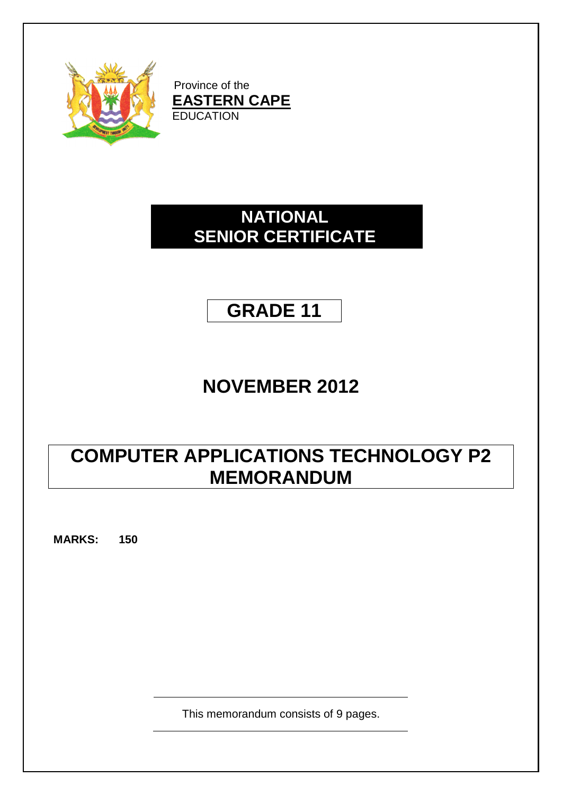

Province of the **EASTERN CAPE EDUCATION** 

## **NATIONAL SENIOR CERTIFICATE**

## **GRADE 11**

# **NOVEMBER 2012**

# **COMPUTER APPLICATIONS TECHNOLOGY P2 MEMORANDUM**

**MARKS: 150**

This memorandum consists of 9 pages.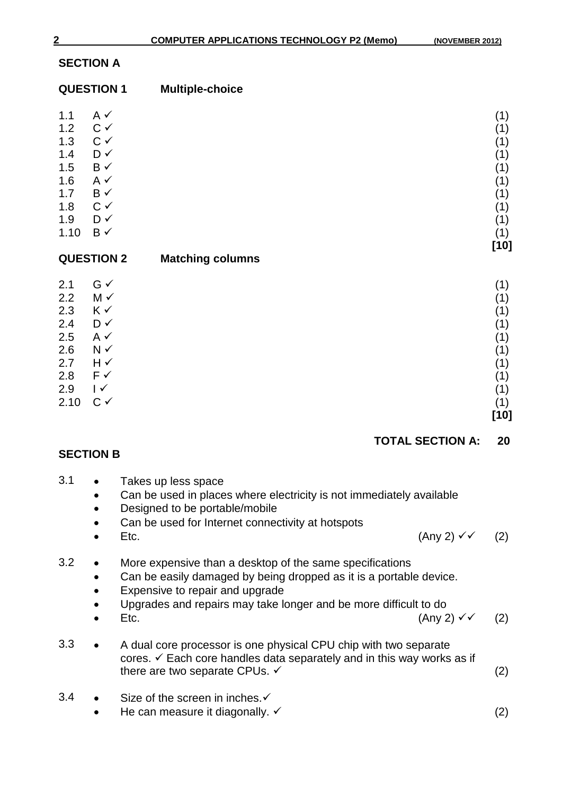### **SECTION A**

|             | <b>QUESTION 1</b>    | <b>Multiple-choice</b>  |            |
|-------------|----------------------|-------------------------|------------|
| 1.1<br>1.2  | $A \vee$<br>$C \vee$ |                         | (1)<br>(1) |
| 1.3         | $C \checkmark$       |                         | (1)        |
| 1.4         | D✓                   |                         | (1)        |
| 1.5         | $B \checkmark$       |                         | (1)        |
| 1.6         | $A \checkmark$       |                         | (1)        |
| 1.7         | $B \checkmark$       |                         | (1)        |
| 1.8         | $C \checkmark$       |                         | (1)        |
| 1.9<br>1.10 | D✓<br>$B \checkmark$ |                         | (1)<br>(1) |
|             |                      |                         | $[10]$     |
|             | <b>QUESTION 2</b>    | <b>Matching columns</b> |            |
| 2.1         | $G \checkmark$       |                         | (1)        |
| 2.2         | M ✓                  |                         | (1)        |
| 2.3         | K√                   |                         | (1)        |
| 2.4         | D✓                   |                         | (1)        |
| 2.5         | $A \checkmark$       |                         | (1)        |
| 2.6         | $N \checkmark$       |                         | (1)        |
|             |                      |                         |            |
| 2.7<br>2.8  | $H \sim$<br>F√       |                         | (1)<br>(1) |

- 
- 2.8  $F \checkmark$  (1)<br>2.9 I  $\checkmark$  (1)  $2.9$  I  $\checkmark$  (1) 2.10  $C \checkmark$  (1)

#### **TOTAL SECTION A: 20**

**[10]**

#### **SECTION B**

| 3.1 |                | Takes up less space<br>Can be used in places where electricity is not immediately available<br>Designed to be portable/mobile<br>Can be used for Internet connectivity at hotspots                                                                                    |     |
|-----|----------------|-----------------------------------------------------------------------------------------------------------------------------------------------------------------------------------------------------------------------------------------------------------------------|-----|
|     |                | (Any 2) $\checkmark$<br>Etc.                                                                                                                                                                                                                                          | (2) |
| 3.2 | ٠<br>$\bullet$ | More expensive than a desktop of the same specifications<br>Can be easily damaged by being dropped as it is a portable device.<br>Expensive to repair and upgrade<br>Upgrades and repairs may take longer and be more difficult to do<br>(Any 2) $\checkmark$<br>Etc. | (2) |
| 3.3 |                | A dual core processor is one physical CPU chip with two separate<br>cores. $\checkmark$ Each core handles data separately and in this way works as if<br>there are two separate CPUs. ✓                                                                               | (2) |
| 3.4 | $\bullet$      | Size of the screen in inches. $\checkmark$<br>He can measure it diagonally. $\checkmark$                                                                                                                                                                              | (2) |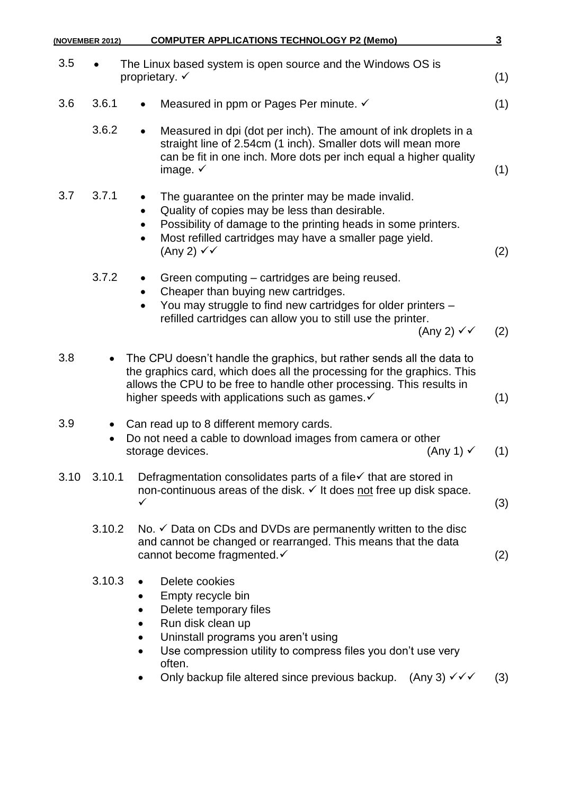| <b>COMPUTER APPLICATIONS TECHNOLOGY P2 (Memo)</b>                                                                                                                                                                                                                                                                   | $\overline{3}$                                                                |
|---------------------------------------------------------------------------------------------------------------------------------------------------------------------------------------------------------------------------------------------------------------------------------------------------------------------|-------------------------------------------------------------------------------|
| The Linux based system is open source and the Windows OS is<br>proprietary. $\checkmark$                                                                                                                                                                                                                            | (1)                                                                           |
| Measured in ppm or Pages Per minute. ✓<br>$\bullet$                                                                                                                                                                                                                                                                 | (1)                                                                           |
| Measured in dpi (dot per inch). The amount of ink droplets in a<br>$\bullet$<br>straight line of 2.54cm (1 inch). Smaller dots will mean more<br>can be fit in one inch. More dots per inch equal a higher quality<br>image. $\checkmark$                                                                           | (1)                                                                           |
| The quarantee on the printer may be made invalid.<br>Quality of copies may be less than desirable.<br>Possibility of damage to the printing heads in some printers.<br>$\bullet$<br>Most refilled cartridges may have a smaller page yield.<br>$\bullet$<br>(Any 2) $\checkmark$                                    | (2)                                                                           |
| Green computing – cartridges are being reused.<br>Cheaper than buying new cartridges.<br>You may struggle to find new cartridges for older printers -<br>$\bullet$<br>refilled cartridges can allow you to still use the printer.<br>(Any 2) $\checkmark\checkmark$                                                 | (2)                                                                           |
| The CPU doesn't handle the graphics, but rather sends all the data to<br>the graphics card, which does all the processing for the graphics. This<br>allows the CPU to be free to handle other processing. This results in<br>higher speeds with applications such as games. $\checkmark$                            | (1)                                                                           |
| Can read up to 8 different memory cards.<br>Do not need a cable to download images from camera or other<br>(Any 1) $\checkmark$<br>storage devices.                                                                                                                                                                 | (1)                                                                           |
| Defragmentation consolidates parts of a file√ that are stored in<br>non-continuous areas of the disk. V It does not free up disk space.<br>✓                                                                                                                                                                        | (3)                                                                           |
| No. $\checkmark$ Data on CDs and DVDs are permanently written to the disc<br>and cannot be changed or rearranged. This means that the data<br>cannot become fragmented. ✓                                                                                                                                           | (2)                                                                           |
| Delete cookies<br>Empty recycle bin<br>Delete temporary files<br>$\bullet$<br>Run disk clean up<br>Uninstall programs you aren't using<br>Use compression utility to compress files you don't use very<br>$\bullet$<br>often.<br>Only backup file altered since previous backup.<br>$(Any 3) \checkmark \checkmark$ | (3)                                                                           |
| 3.6.1                                                                                                                                                                                                                                                                                                               | (NOVEMBER 2012)<br>3.6.2<br>3.7.1<br>3.7.2<br>3.10 3.10.1<br>3.10.2<br>3.10.3 |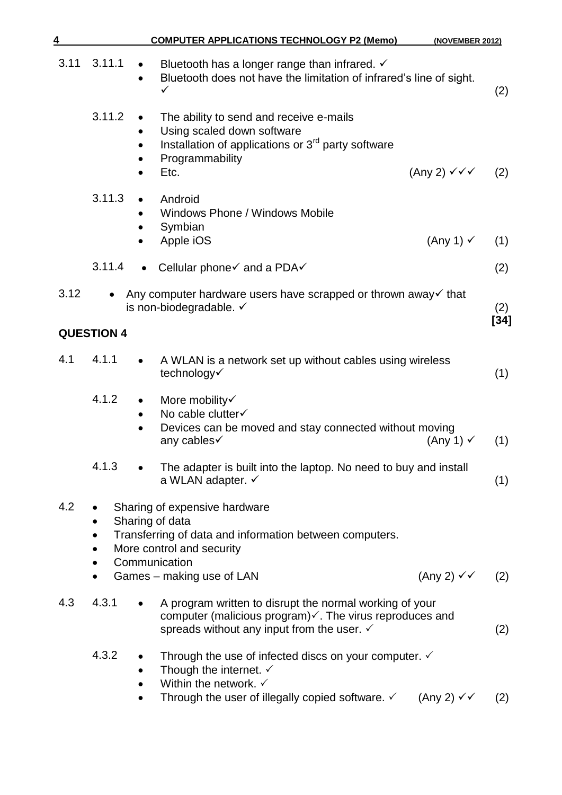| 4    |                                                                         | <b>COMPUTER APPLICATIONS TECHNOLOGY P2 (Memo)</b>                                                                                                                                                                                       | (NOVEMBER 2012)                 |               |
|------|-------------------------------------------------------------------------|-----------------------------------------------------------------------------------------------------------------------------------------------------------------------------------------------------------------------------------------|---------------------------------|---------------|
| 3.11 | 3.11.1<br>$\bullet$                                                     | Bluetooth has a longer range than infrared. $\checkmark$<br>Bluetooth does not have the limitation of infrared's line of sight.<br>✓                                                                                                    |                                 | (2)           |
|      | 3.11.2                                                                  | The ability to send and receive e-mails<br>Using scaled down software<br>Installation of applications or 3 <sup>rd</sup> party software<br>Programmability<br>Etc.                                                                      | (Any 2) $\checkmark \checkmark$ | (2)           |
|      | 3.11.3                                                                  | Android<br>Windows Phone / Windows Mobile<br>Symbian<br>Apple iOS                                                                                                                                                                       | (Any 1) $\checkmark$            | (1)           |
|      | 3.11.4                                                                  | Cellular phone√ and a PDA√                                                                                                                                                                                                              |                                 | (2)           |
| 3.12 | $\bullet$                                                               | Any computer hardware users have scrapped or thrown away $\checkmark$ that<br>is non-biodegradable. ✓                                                                                                                                   |                                 | (2)<br>$[34]$ |
|      | <b>QUESTION 4</b>                                                       |                                                                                                                                                                                                                                         |                                 |               |
| 4.1  | 4.1.1                                                                   | A WLAN is a network set up without cables using wireless<br>technology√                                                                                                                                                                 |                                 | (1)           |
|      | 4.1.2<br>$\bullet$                                                      | More mobility<br>No cable clutter√<br>Devices can be moved and stay connected without moving<br>any cables√                                                                                                                             | $(Any 1) \checkmark$            | (1)           |
|      | 4.1.3                                                                   | The adapter is built into the laptop. No need to buy and install<br>a WLAN adapter. ✓                                                                                                                                                   |                                 | (1)           |
| 4.2  | Sharing of data<br>$\bullet$<br>$\bullet$<br>Communication<br>$\bullet$ | Sharing of expensive hardware<br>Transferring of data and information between computers.<br>More control and security                                                                                                                   |                                 |               |
|      | $\bullet$                                                               | Games – making use of LAN                                                                                                                                                                                                               | (Any 2) ✓✓                      | (2)           |
| 4.3  | 4.3.1                                                                   | A program written to disrupt the normal working of your<br>computer (malicious program) $\checkmark$ . The virus reproduces and<br>spreads without any input from the user. $\checkmark$                                                |                                 | (2)           |
|      | 4.3.2<br>$\bullet$<br>$\bullet$                                         | Through the use of infected discs on your computer. $\checkmark$<br>Though the internet. $\checkmark$<br>Within the network. $\checkmark$<br>Through the user of illegally copied software. $\checkmark$ (Any 2) $\checkmark\checkmark$ |                                 | (2)           |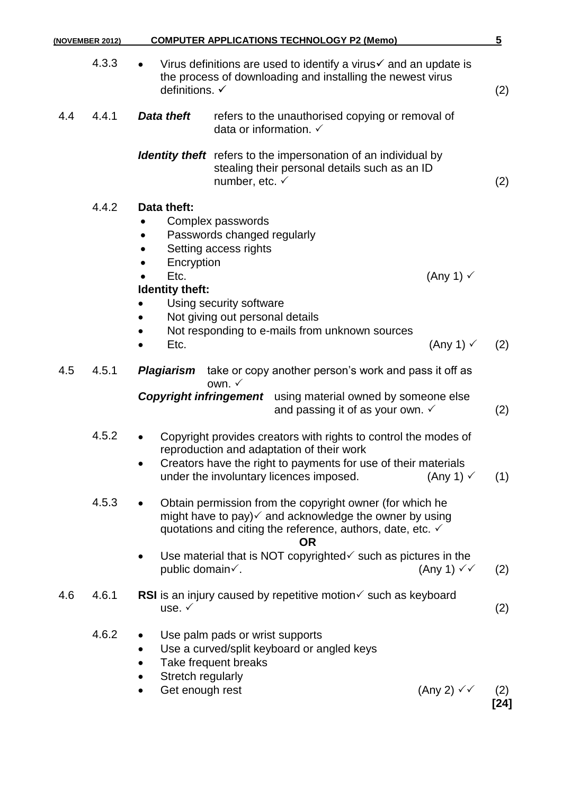|     | (NOVEMBER 2012) | <b>COMPUTER APPLICATIONS TECHNOLOGY P2 (Memo)</b>                                                                                                                                                                                                                                 | $\overline{\mathbf{5}}$ |
|-----|-----------------|-----------------------------------------------------------------------------------------------------------------------------------------------------------------------------------------------------------------------------------------------------------------------------------|-------------------------|
|     | 4.3.3           | Virus definitions are used to identify a virus $\checkmark$ and an update is<br>the process of downloading and installing the newest virus<br>definitions. ✓                                                                                                                      | (2)                     |
| 4.4 | 4.4.1           | <b>Data theft</b><br>refers to the unauthorised copying or removal of<br>data or information. $\checkmark$                                                                                                                                                                        |                         |
|     |                 | <b>Identity theft</b> refers to the impersonation of an individual by<br>stealing their personal details such as an ID<br>number, etc. $\checkmark$                                                                                                                               | (2)                     |
|     | 4.4.2           | Data theft:<br>Complex passwords<br>Passwords changed regularly<br>Setting access rights<br>Encryption<br>Etc.<br>(Any 1) $\checkmark$<br>Identity theft:<br>Using security software<br>Not giving out personal details<br>Not responding to e-mails from unknown sources<br>Etc. |                         |
|     |                 | $(Any 1) \checkmark$                                                                                                                                                                                                                                                              | (2)                     |
| 4.5 | 4.5.1           | take or copy another person's work and pass it off as<br>Plagiarism<br>own. $\checkmark$<br><b>Copyright infringement</b> using material owned by someone else<br>and passing it of as your own. $\checkmark$                                                                     | (2)                     |
|     | 4.5.2           | Copyright provides creators with rights to control the modes of<br>reproduction and adaptation of their work<br>Creators have the right to payments for use of their materials<br>under the involuntary licences imposed.<br>$(Any 1) \checkmark$                                 | (1)                     |
|     | 4.5.3           | Obtain permission from the copyright owner (for which he<br>might have to pay) $\checkmark$ and acknowledge the owner by using<br>quotations and citing the reference, authors, date, etc. $\checkmark$<br><b>OR</b>                                                              |                         |
|     |                 | Use material that is NOT copyrighted $\checkmark$ such as pictures in the<br>public domain√.<br>(Any 1) $\checkmark\checkmark$                                                                                                                                                    | (2)                     |
| 4.6 | 4.6.1           | RSI is an injury caused by repetitive motion $\checkmark$ such as keyboard<br>use. $\checkmark$                                                                                                                                                                                   | (2)                     |
|     | 4.6.2           | Use palm pads or wrist supports<br>Use a curved/split keyboard or angled keys<br>Take frequent breaks<br>Stretch regularly<br>Get enough rest<br>(Any 2) $\checkmark$                                                                                                             | (2)<br>$[24]$           |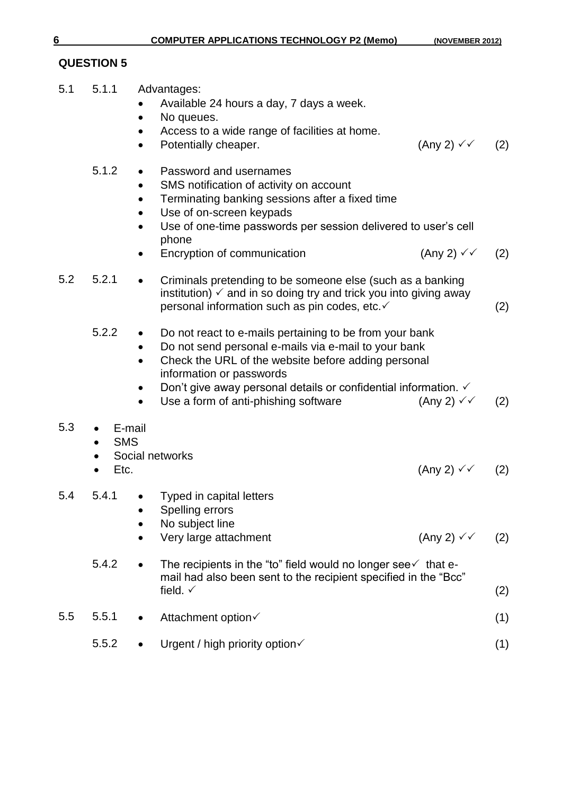### **QUESTION 5**

5.1 5.1.1 Advantages:

|     |                                           | Available 24 hours a day, 7 days a week.<br>No queues.<br>Access to a wide range of facilities at home.<br>Potentially cheaper.                                                                                                                                                                                          | $(Any 2) \vee (2)$             |     |
|-----|-------------------------------------------|--------------------------------------------------------------------------------------------------------------------------------------------------------------------------------------------------------------------------------------------------------------------------------------------------------------------------|--------------------------------|-----|
|     | 5.1.2                                     | Password and usernames<br>SMS notification of activity on account<br>Terminating banking sessions after a fixed time<br>Use of on-screen keypads<br>Use of one-time passwords per session delivered to user's cell<br>phone<br>Encryption of communication                                                               | (Any 2) $\checkmark$           | (2) |
| 5.2 | 5.2.1                                     | Criminals pretending to be someone else (such as a banking<br>institution) $\checkmark$ and in so doing try and trick you into giving away<br>personal information such as pin codes, etc.√                                                                                                                              |                                | (2) |
|     | 5.2.2<br>$\bullet$<br>$\bullet$           | Do not react to e-mails pertaining to be from your bank<br>Do not send personal e-mails via e-mail to your bank<br>Check the URL of the website before adding personal<br>information or passwords<br>Don't give away personal details or confidential information. $\checkmark$<br>Use a form of anti-phishing software | (Any 2) $\checkmark\checkmark$ | (2) |
| 5.3 | E-mail<br><b>SMS</b><br>Etc.<br>$\bullet$ | Social networks                                                                                                                                                                                                                                                                                                          | (Any 2) $\checkmark$           | (2) |
| 5.4 | 5.4.1                                     | • Typed in capital letters<br>Spelling errors<br>No subject line<br>Very large attachment                                                                                                                                                                                                                                | (Any 2) $\checkmark$           | (2) |
|     | 5.4.2                                     | The recipients in the "to" field would no longer see $\checkmark$ that e-<br>mail had also been sent to the recipient specified in the "Bcc"<br>field. $\checkmark$                                                                                                                                                      |                                | (2) |
| 5.5 | 5.5.1                                     | Attachment option√                                                                                                                                                                                                                                                                                                       |                                | (1) |
|     | 5.5.2                                     | Urgent / high priority option√                                                                                                                                                                                                                                                                                           |                                | (1) |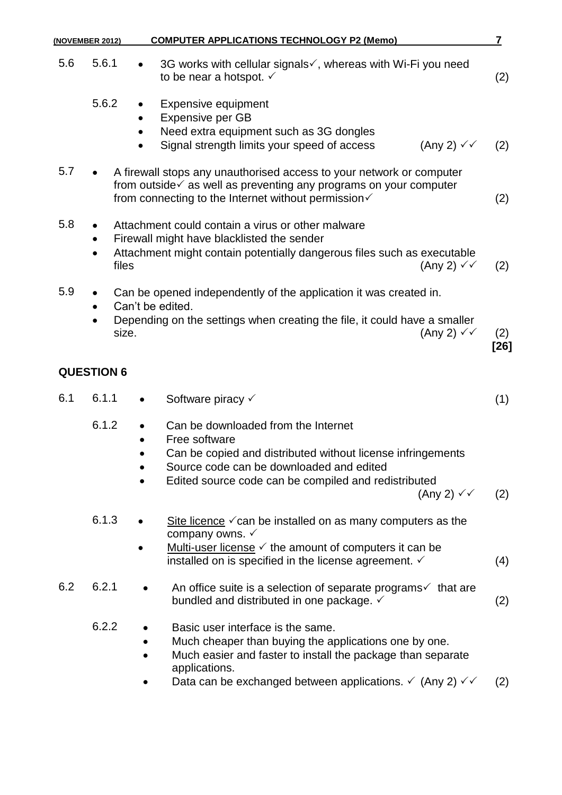| <b>COMPUTER APPLICATIONS TECHNOLOGY P2 (Memo)</b><br>(NOVEMBER 2012) |                    | $\overline{\mathbf{7}}$                                                                                                                                                                                                                                     |               |
|----------------------------------------------------------------------|--------------------|-------------------------------------------------------------------------------------------------------------------------------------------------------------------------------------------------------------------------------------------------------------|---------------|
| 5.6                                                                  | 5.6.1              | 3G works with cellular signals√, whereas with Wi-Fi you need<br>to be near a hotspot. $\checkmark$                                                                                                                                                          | (2)           |
|                                                                      | 5.6.2<br>$\bullet$ | <b>Expensive equipment</b><br>Expensive per GB<br>Need extra equipment such as 3G dongles<br>(Any 2) $\checkmark$<br>Signal strength limits your speed of access                                                                                            | (2)           |
| 5.7                                                                  |                    | A firewall stops any unauthorised access to your network or computer<br>from outside $\checkmark$ as well as preventing any programs on your computer<br>from connecting to the Internet without permission√                                                | (2)           |
| 5.8                                                                  | $\bullet$<br>files | Attachment could contain a virus or other malware<br>Firewall might have blacklisted the sender<br>Attachment might contain potentially dangerous files such as executable<br>(Any 2) $\checkmark\checkmark$                                                | (2)           |
| 5.9                                                                  |                    | Can be opened independently of the application it was created in.<br>Can't be edited.                                                                                                                                                                       |               |
|                                                                      | size.              | Depending on the settings when creating the file, it could have a smaller<br>(Any 2) $\checkmark\checkmark$                                                                                                                                                 | (2)<br>$[26]$ |
|                                                                      | <b>QUESTION 6</b>  |                                                                                                                                                                                                                                                             |               |
| 6.1                                                                  | 6.1.1<br>$\bullet$ | Software piracy √                                                                                                                                                                                                                                           | (1)           |
|                                                                      | 6.1.2              | Can be downloaded from the Internet<br>Free software<br>Can be copied and distributed without license infringements<br>Source code can be downloaded and edited<br>Edited source code can be compiled and redistributed<br>(Any 2) $\checkmark\checkmark$   | (2)           |
|                                                                      | 6.1.3              | Site licence $\checkmark$ can be installed on as many computers as the<br>company owns. $\checkmark$<br>Multi-user license $\checkmark$ the amount of computers it can be<br>installed on is specified in the license agreement. ✓                          | (4)           |
| 6.2                                                                  | 6.2.1              | An office suite is a selection of separate programs $\checkmark$ that are<br>bundled and distributed in one package. ✓                                                                                                                                      | (2)           |
|                                                                      | 6.2.2              | Basic user interface is the same.<br>Much cheaper than buying the applications one by one.<br>Much easier and faster to install the package than separate<br>applications.<br>Data can be exchanged between applications. $\checkmark$ (Any 2) $\checkmark$ | (2)           |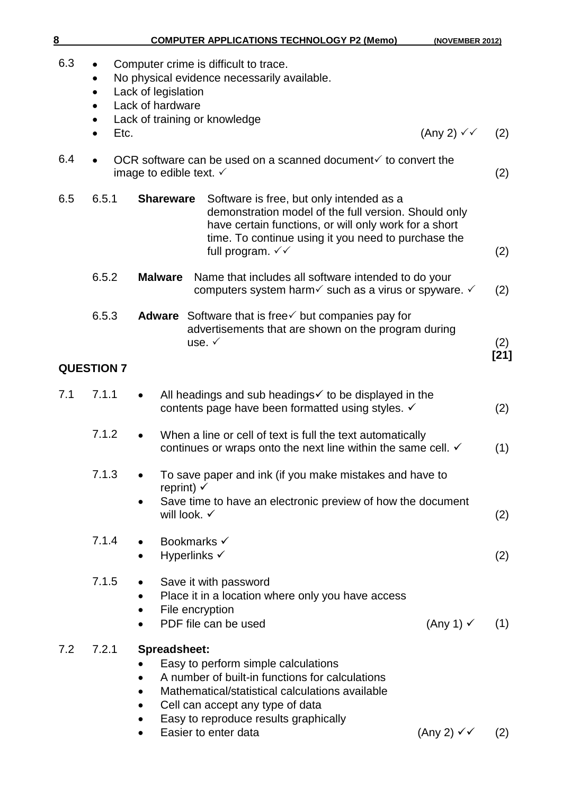| <b>COMPUTER APPLICATIONS TECHNOLOGY P2 (Memo)</b><br>(NOVEMBER 2012) |
|----------------------------------------------------------------------|
|                                                                      |

| 6.3 | $\bullet$<br>$\bullet$<br>Etc. | Computer crime is difficult to trace.<br>No physical evidence necessarily available.<br>Lack of legislation<br>Lack of hardware<br>Lack of training or knowledge                                                                                                                                       |        |
|-----|--------------------------------|--------------------------------------------------------------------------------------------------------------------------------------------------------------------------------------------------------------------------------------------------------------------------------------------------------|--------|
|     | $\bullet$                      | (Any 2) $\checkmark$                                                                                                                                                                                                                                                                                   | (2)    |
| 6.4 |                                | OCR software can be used on a scanned document $\checkmark$ to convert the<br>image to edible text. $\checkmark$                                                                                                                                                                                       | (2)    |
| 6.5 | 6.5.1                          | <b>Shareware</b><br>Software is free, but only intended as a<br>demonstration model of the full version. Should only<br>have certain functions, or will only work for a short<br>time. To continue using it you need to purchase the<br>full program. $\checkmark\checkmark$                           | (2)    |
|     | 6.5.2                          | <b>Malware</b><br>Name that includes all software intended to do your<br>computers system harm $\checkmark$ such as a virus or spyware. $\checkmark$                                                                                                                                                   | (2)    |
|     | 6.5.3                          | <b>Adware</b> Software that is free $\checkmark$ but companies pay for<br>advertisements that are shown on the program during<br>use. $\checkmark$                                                                                                                                                     | (2)    |
|     | <b>QUESTION 7</b>              |                                                                                                                                                                                                                                                                                                        | $[21]$ |
| 7.1 | 7.1.1                          | All headings and sub headings $\checkmark$ to be displayed in the<br>$\bullet$<br>contents page have been formatted using styles. V                                                                                                                                                                    | (2)    |
|     | 7.1.2                          | When a line or cell of text is full the text automatically<br>$\bullet$<br>continues or wraps onto the next line within the same cell. √                                                                                                                                                               | (1)    |
|     | 7.1.3                          | To save paper and ink (if you make mistakes and have to<br>reprint) $\checkmark$                                                                                                                                                                                                                       |        |
|     |                                | Save time to have an electronic preview of how the document<br>will look. $\checkmark$                                                                                                                                                                                                                 | (2)    |
|     | 7.1.4                          | Bookmarks √<br>Hyperlinks √                                                                                                                                                                                                                                                                            | (2)    |
|     | 7.1.5                          | Save it with password<br>Place it in a location where only you have access<br>File encryption<br>$\bullet$<br>PDF file can be used<br>(Any 1) $\checkmark$                                                                                                                                             | (1)    |
| 7.2 | 7.2.1                          | Spreadsheet:<br>Easy to perform simple calculations<br>A number of built-in functions for calculations<br>Mathematical/statistical calculations available<br>$\bullet$<br>Cell can accept any type of data<br>$\bullet$<br>Easy to reproduce results graphically<br>Easier to enter data<br>(Any 2) ✓✓ | (2)    |